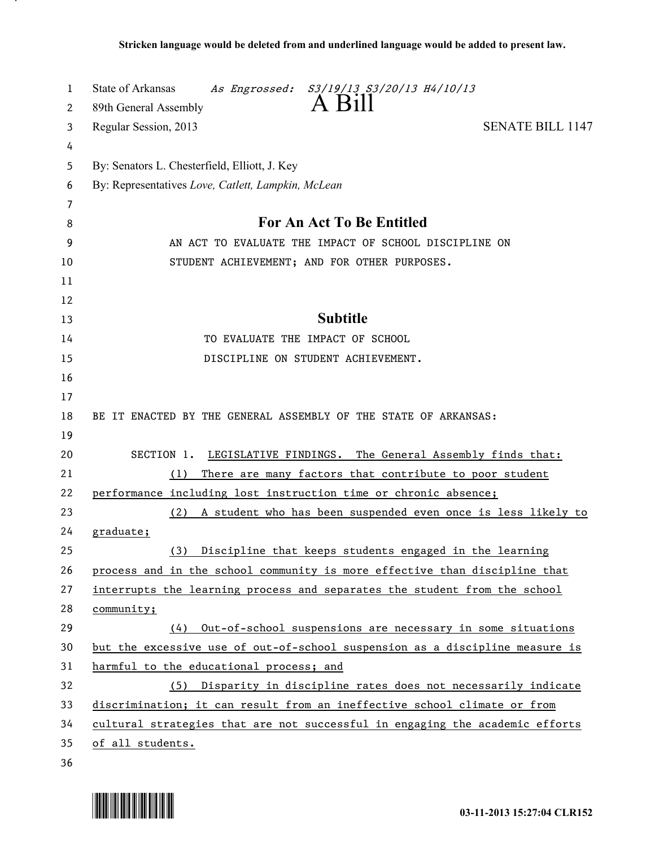| 1      | State of Arkansas<br>As Engrossed: S3/19/13 S3/20/13 H4/10/13<br>A Bill      |
|--------|------------------------------------------------------------------------------|
| 2      | 89th General Assembly                                                        |
| 3      | <b>SENATE BILL 1147</b><br>Regular Session, 2013                             |
| 4      |                                                                              |
| 5      | By: Senators L. Chesterfield, Elliott, J. Key                                |
| 6      | By: Representatives Love, Catlett, Lampkin, McLean                           |
| 7<br>8 | <b>For An Act To Be Entitled</b>                                             |
| 9      | AN ACT TO EVALUATE THE IMPACT OF SCHOOL DISCIPLINE ON                        |
| 10     | STUDENT ACHIEVEMENT; AND FOR OTHER PURPOSES.                                 |
| 11     |                                                                              |
| 12     |                                                                              |
| 13     | <b>Subtitle</b>                                                              |
| 14     | TO EVALUATE THE IMPACT OF SCHOOL                                             |
| 15     | DISCIPLINE ON STUDENT ACHIEVEMENT.                                           |
| 16     |                                                                              |
| 17     |                                                                              |
| 18     | BE IT ENACTED BY THE GENERAL ASSEMBLY OF THE STATE OF ARKANSAS:              |
| 19     |                                                                              |
| 20     | LEGISLATIVE FINDINGS. The General Assembly finds that:<br>SECTION 1.         |
| 21     | There are many factors that contribute to poor student<br>(1)                |
| 22     | performance including lost instruction time or chronic absence;              |
| 23     | A student who has been suspended even once is less likely to<br>(2)          |
| 24     | graduate;                                                                    |
| 25     | Discipline that keeps students engaged in the learning<br>(3)                |
| 26     | process and in the school community is more effective than discipline that   |
| 27     | interrupts the learning process and separates the student from the school    |
| 28     | community;                                                                   |
| 29     | Out-of-school suspensions are necessary in some situations<br>(4)            |
| 30     | but the excessive use of out-of-school suspension as a discipline measure is |
| 31     | harmful to the educational process; and                                      |
| 32     | (5) Disparity in discipline rates does not necessarily indicate              |
| 33     | discrimination; it can result from an ineffective school climate or from     |
| 34     | cultural strategies that are not successful in engaging the academic efforts |
| 35     | of all students.                                                             |
| 36     |                                                                              |



.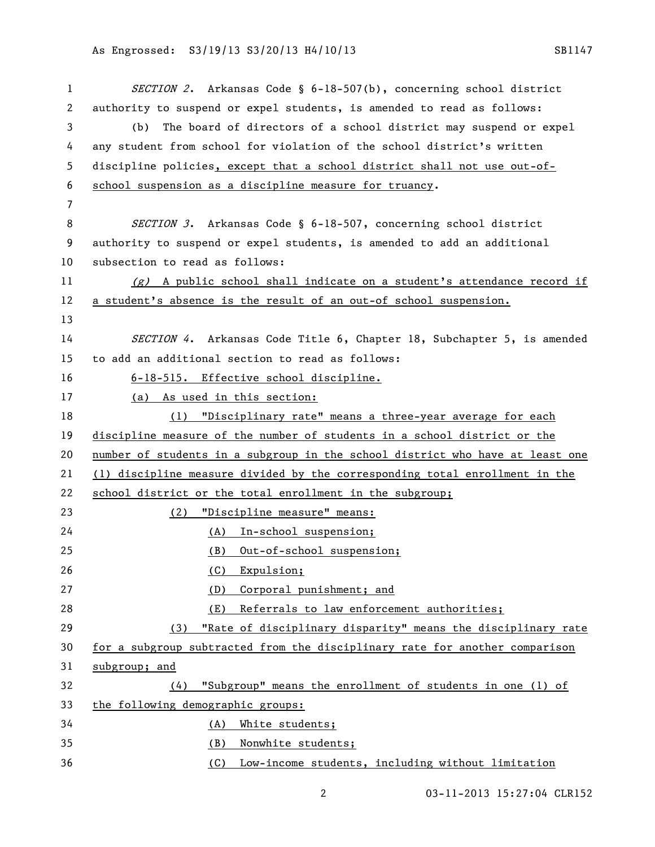## As Engrossed: S3/19/13 S3/20/13 H4/10/13 SB1147

1 SECTION 2. Arkansas Code § 6-18-507(b), concerning school district authority to suspend or expel students, is amended to read as follows: (b) The board of directors of a school district may suspend or expel any student from school for violation of the school district's written discipline policies, except that a school district shall not use out-of- school suspension as a discipline measure for truancy. 8 SECTION 3. Arkansas Code § 6-18-507, concerning school district authority to suspend or expel students, is amended to add an additional subsection to read as follows: 11 (g) A public school shall indicate on a student's attendance record if a student's absence is the result of an out-of school suspension. 14 SECTION 4. Arkansas Code Title 6, Chapter 18, Subchapter 5, is amended to add an additional section to read as follows: 6-18-515. Effective school discipline. (a) As used in this section: (1) "Disciplinary rate" means a three-year average for each discipline measure of the number of students in a school district or the number of students in a subgroup in the school district who have at least one (1) discipline measure divided by the corresponding total enrollment in the school district or the total enrollment in the subgroup; (2) "Discipline measure" means: (A) In-school suspension; (B) Out-of-school suspension; 26 (C) Expulsion; (D) Corporal punishment; and (E) Referrals to law enforcement authorities; (3) "Rate of disciplinary disparity" means the disciplinary rate for a subgroup subtracted from the disciplinary rate for another comparison subgroup; and (4) "Subgroup" means the enrollment of students in one (1) of the following demographic groups: (A) White students; (B) Nonwhite students; (C) Low-income students, including without limitation

03-11-2013 15:27:04 CLR152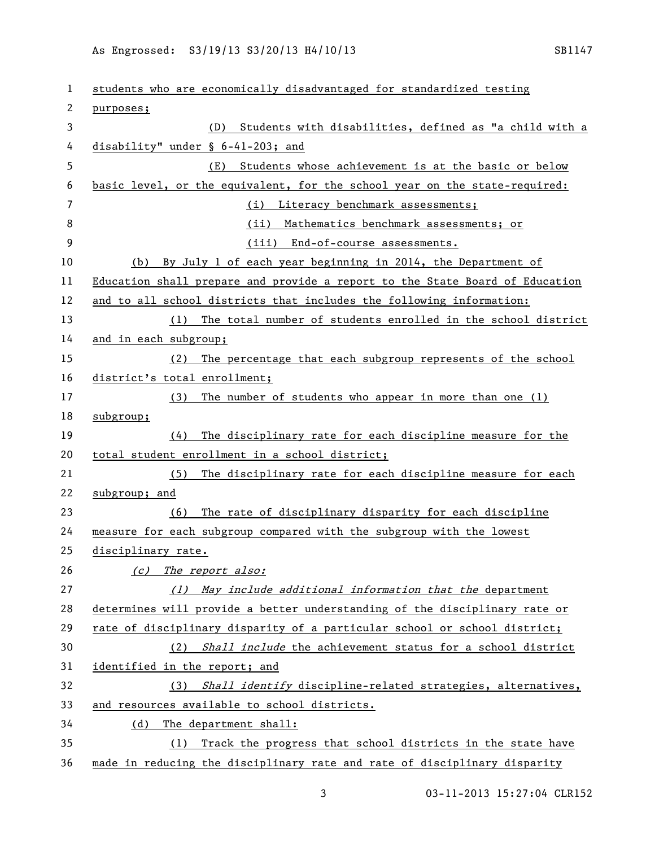## As Engrossed: S3/19/13 S3/20/13 H4/10/13 SB1147

 students who are economically disadvantaged for standardized testing purposes; (D) Students with disabilities, defined as "a child with a disability" under § 6-41-203; and (E) Students whose achievement is at the basic or below basic level, or the equivalent, for the school year on the state-required: (i) Literacy benchmark assessments; (ii) Mathematics benchmark assessments; or (iii) End-of-course assessments. (b) By July 1 of each year beginning in 2014, the Department of Education shall prepare and provide a report to the State Board of Education and to all school districts that includes the following information: (1) The total number of students enrolled in the school district and in each subgroup; (2) The percentage that each subgroup represents of the school district's total enrollment; (3) The number of students who appear in more than one (1) subgroup; (4) The disciplinary rate for each discipline measure for the total student enrollment in a school district; (5) The disciplinary rate for each discipline measure for each subgroup; and (6) The rate of disciplinary disparity for each discipline measure for each subgroup compared with the subgroup with the lowest disciplinary rate. 26 (c) The report also: 27 (1) May include additional information that the department determines will provide a better understanding of the disciplinary rate or rate of disciplinary disparity of a particular school or school district; (2) Shall include the achievement status for a school district identified in the report; and 32 (3) Shall identify discipline-related strategies, alternatives, and resources available to school districts. (d) The department shall: (1) Track the progress that school districts in the state have made in reducing the disciplinary rate and rate of disciplinary disparity

03-11-2013 15:27:04 CLR152